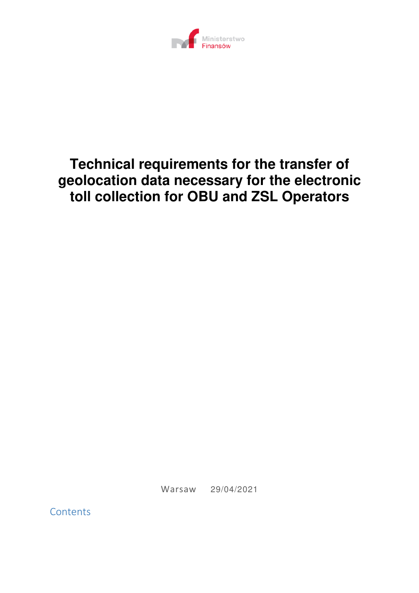

# **Technical requirements for the transfer of geolocation data necessary for the electronic toll collection for OBU and ZSL Operators**

Warsaw 29/04/2021

**Contents**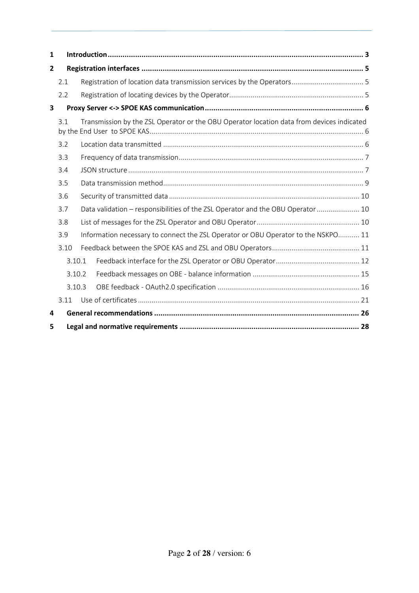| 1              |                                                                                          |  |                                                                                           |  |
|----------------|------------------------------------------------------------------------------------------|--|-------------------------------------------------------------------------------------------|--|
| $\overline{2}$ |                                                                                          |  |                                                                                           |  |
|                | 2.1                                                                                      |  |                                                                                           |  |
|                | 2.2                                                                                      |  |                                                                                           |  |
| 3              |                                                                                          |  |                                                                                           |  |
|                | 3.1                                                                                      |  | Transmission by the ZSL Operator or the OBU Operator location data from devices indicated |  |
|                | 3.2                                                                                      |  |                                                                                           |  |
|                | 3.3                                                                                      |  |                                                                                           |  |
|                | 3.4                                                                                      |  |                                                                                           |  |
|                | 3.5                                                                                      |  |                                                                                           |  |
|                | 3.6                                                                                      |  |                                                                                           |  |
|                | 3.7                                                                                      |  | Data validation - responsibilities of the ZSL Operator and the OBU Operator  10           |  |
|                | 3.8                                                                                      |  |                                                                                           |  |
|                | Information necessary to connect the ZSL Operator or OBU Operator to the NSKPO 11<br>3.9 |  |                                                                                           |  |
|                | 3.10                                                                                     |  |                                                                                           |  |
|                | 3.10.1                                                                                   |  |                                                                                           |  |
|                | 3.10.2                                                                                   |  |                                                                                           |  |
|                | 3.10.3                                                                                   |  |                                                                                           |  |
|                | 3.11                                                                                     |  |                                                                                           |  |
| 4              |                                                                                          |  |                                                                                           |  |
| 5              |                                                                                          |  |                                                                                           |  |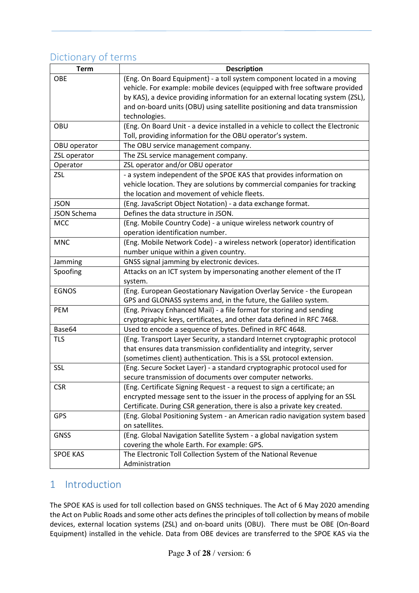## Dictionary of terms

| <b>Term</b>        | <b>Description</b>                                                              |
|--------------------|---------------------------------------------------------------------------------|
| OBE                | (Eng. On Board Equipment) - a toll system component located in a moving         |
|                    | vehicle. For example: mobile devices (equipped with free software provided      |
|                    | by KAS), a device providing information for an external locating system (ZSL),  |
|                    | and on-board units (OBU) using satellite positioning and data transmission      |
|                    | technologies.                                                                   |
| OBU                | (Eng. On Board Unit - a device installed in a vehicle to collect the Electronic |
|                    | Toll, providing information for the OBU operator's system.                      |
| OBU operator       | The OBU service management company.                                             |
| ZSL operator       | The ZSL service management company.                                             |
| Operator           | ZSL operator and/or OBU operator                                                |
| <b>ZSL</b>         | - a system independent of the SPOE KAS that provides information on             |
|                    | vehicle location. They are solutions by commercial companies for tracking       |
|                    | the location and movement of vehicle fleets.                                    |
| <b>JSON</b>        | (Eng. JavaScript Object Notation) - a data exchange format.                     |
| <b>JSON Schema</b> | Defines the data structure in JSON.                                             |
| <b>MCC</b>         | (Eng. Mobile Country Code) - a unique wireless network country of               |
|                    | operation identification number.                                                |
| <b>MNC</b>         | (Eng. Mobile Network Code) - a wireless network (operator) identification       |
|                    | number unique within a given country.                                           |
| Jamming            | GNSS signal jamming by electronic devices.                                      |
| Spoofing           | Attacks on an ICT system by impersonating another element of the IT             |
|                    | system.                                                                         |
| <b>EGNOS</b>       | (Eng. European Geostationary Navigation Overlay Service - the European          |
|                    | GPS and GLONASS systems and, in the future, the Galileo system.                 |
| PEM                | (Eng. Privacy Enhanced Mail) - a file format for storing and sending            |
|                    | cryptographic keys, certificates, and other data defined in RFC 7468.           |
| Base64             | Used to encode a sequence of bytes. Defined in RFC 4648.                        |
| <b>TLS</b>         | (Eng. Transport Layer Security, a standard Internet cryptographic protocol      |
|                    | that ensures data transmission confidentiality and integrity, server            |
|                    | (sometimes client) authentication. This is a SSL protocol extension.            |
| SSL                | (Eng. Secure Socket Layer) - a standard cryptographic protocol used for         |
|                    | secure transmission of documents over computer networks.                        |
| <b>CSR</b>         | (Eng. Certificate Signing Request - a request to sign a certificate; an         |
|                    | encrypted message sent to the issuer in the process of applying for an SSL      |
|                    | Certificate. During CSR generation, there is also a private key created.        |
| <b>GPS</b>         | (Eng. Global Positioning System - an American radio navigation system based     |
|                    | on satellites.                                                                  |
| <b>GNSS</b>        | (Eng. Global Navigation Satellite System - a global navigation system           |
|                    | covering the whole Earth. For example: GPS.                                     |
| <b>SPOE KAS</b>    | The Electronic Toll Collection System of the National Revenue                   |
|                    | Administration                                                                  |

## 1 Introduction

The SPOE KAS is used for toll collection based on GNSS techniques. The Act of 6 May 2020 amending the Act on Public Roads and some other acts defines the principles of toll collection by means of mobile devices, external location systems (ZSL) and on-board units (OBU). There must be OBE (On-Board Equipment) installed in the vehicle. Data from OBE devices are transferred to the SPOE KAS via the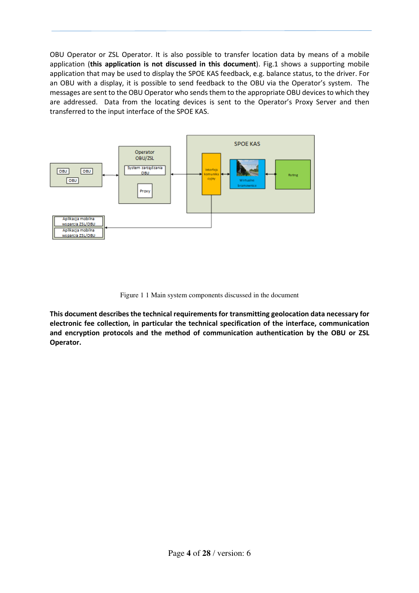OBU Operator or ZSL Operator. It is also possible to transfer location data by means of a mobile application (**this application is not discussed in this document**). Fig.1 shows a supporting mobile application that may be used to display the SPOE KAS feedback, e.g. balance status, to the driver. For an OBU with a display, it is possible to send feedback to the OBU via the Operator's system. The messages are sent to the OBU Operator who sends them to the appropriate OBU devices to which they are addressed. Data from the locating devices is sent to the Operator's Proxy Server and then transferred to the input interface of the SPOE KAS.



Figure 1 1 Main system components discussed in the document

**This document describes the technical requirements for transmitting geolocation data necessary for electronic fee collection, in particular the technical specification of the interface, communication and encryption protocols and the method of communication authentication by the OBU or ZSL Operator.**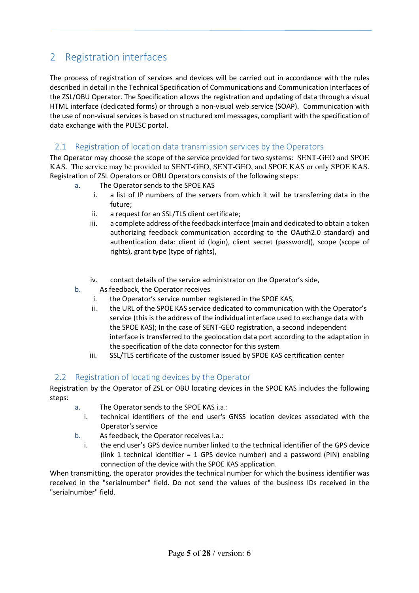## 2 Registration interfaces

The process of registration of services and devices will be carried out in accordance with the rules described in detail in the Technical Specification of Communications and Communication Interfaces of the ZSL/OBU Operator. The Specification allows the registration and updating of data through a visual HTML interface (dedicated forms) or through a non-visual web service (SOAP). Communication with the use of non-visual services is based on structured xml messages, compliant with the specification of data exchange with the PUESC portal.

## 2.1 Registration of location data transmission services by the Operators

The Operator may choose the scope of the service provided for two systems: SENT-GEO and SPOE KAS. The service may be provided to SENT-GEO, SENT-GEO, and SPOE KAS or only SPOE KAS. Registration of ZSL Operators or OBU Operators consists of the following steps:

- a. The Operator sends to the SPOE KAS
	- i. a list of IP numbers of the servers from which it will be transferring data in the future;
	- ii. a request for an SSL/TLS client certificate;
	- iii. a complete address of the feedback interface (main and dedicated to obtain a token authorizing feedback communication according to the OAuth2.0 standard) and authentication data: client id (login), client secret (password)), scope (scope of rights), grant type (type of rights),
	- iv. contact details of the service administrator on the Operator's side,
- b. As feedback, the Operator receives
	- i. the Operator's service number registered in the SPOE KAS,
	- ii. the URL of the SPOE KAS service dedicated to communication with the Operator's service (this is the address of the individual interface used to exchange data with the SPOE KAS); In the case of SENT-GEO registration, a second independent interface is transferred to the geolocation data port according to the adaptation in the specification of the data connector for this system
	- iii. SSL/TLS certificate of the customer issued by SPOE KAS certification center

### 2.2 Registration of locating devices by the Operator

Registration by the Operator of ZSL or OBU locating devices in the SPOE KAS includes the following steps:

- a. The Operator sends to the SPOE KAS i.a.:
- i. technical identifiers of the end user's GNSS location devices associated with the Operator's service
- b. As feedback, the Operator receives i.a.:
	- i. the end user's GPS device number linked to the technical identifier of the GPS device (link 1 technical identifier = 1 GPS device number) and a password (PIN) enabling connection of the device with the SPOE KAS application.

When transmitting, the operator provides the technical number for which the business identifier was received in the "serialnumber" field. Do not send the values of the business IDs received in the "serialnumber" field.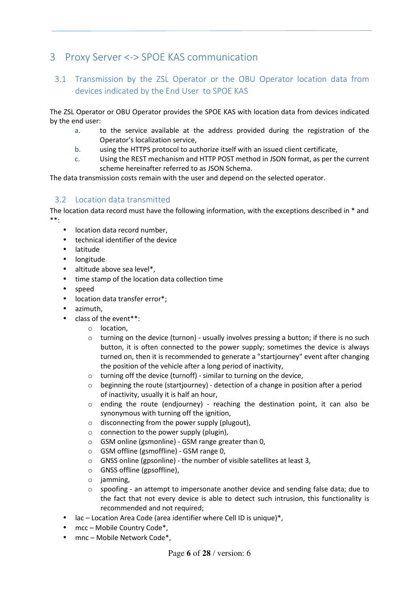## 3 Proxy Server <-> SPOE KAS communication

## 3.1 Transmission by the ZSL Operator or the OBU Operator location data from devices indicated by the End User to SPOE KAS

The ZSL Operator or OBU Operator provides the SPOE KAS with location data from devices indicated by the end user:

- a. to the service available at the address provided during the registration of the Operator's localization service,
- b. using the HTTPS protocol to authorize itself with an issued client certificate,
- c. Using the REST mechanism and HTTP POST method in JSON format, as per the current scheme hereinafter referred to as JSON Schema.

The data transmission costs remain with the user and depend on the selected operator.

## 3.2 Location data transmitted

The location data record must have the following information, with the exceptions described in \* and \*\*:

- location data record number,
- technical identifier of the device
- latitude
- longitude
- altitude above sea level\*,
- time stamp of the location data collection time
- speed
- location data transfer error\*;
- azimuth,
	- class of the event\*\*:
		- o location,
		- $\circ$  turning on the device (turnon) usually involves pressing a button; if there is no such button, it is often connected to the power supply; sometimes the device is always turned on, then it is recommended to generate a "startjourney" event after changing the position of the vehicle after a long period of inactivity,
		- o turning off the device (turnoff) similar to turning on the device,
		- $\circ$  beginning the route (startjourney) detection of a change in position after a period of inactivity, usually it is half an hour,
		- o ending the route (endjourney) reaching the destination point, it can also be synonymous with turning off the ignition,
		- $\circ$  disconnecting from the power supply (plugout),
		- $\circ$  connection to the power supply (plugin),
		- $\circ$  GSM online (gsmonline) GSM range greater than 0,
		- o GSM offline (gsmoffline) GSM range 0,
		- o GNSS online (gpsonline) the number of visible satellites at least 3,
		- o GNSS offline (gpsoffline),
		- o jamming,
		- $\circ$  spoofing an attempt to impersonate another device and sending false data; due to the fact that not every device is able to detect such intrusion, this functionality is recommended and not required;
	- $lac Location Area Code (area identifier where Cell ID is unique)$ <sup>\*</sup>,
- mcc Mobile Country Code\*,
- mnc Mobile Network Code\*.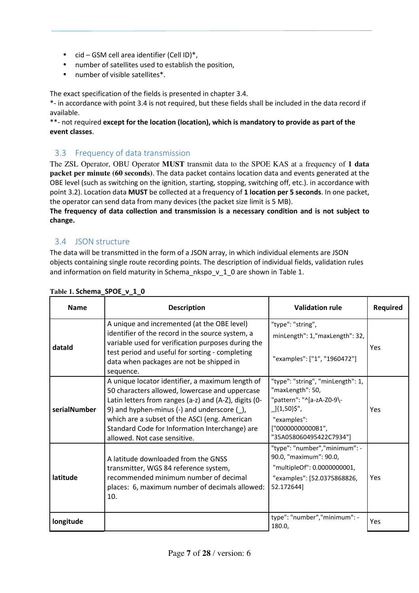- cid GSM cell area identifier (Cell ID)\*,
- number of satellites used to establish the position,
- number of visible satellites\*.

The exact specification of the fields is presented in chapter 3.4.

\*- in accordance with point 3.4 is not required, but these fields shall be included in the data record if available.

\*\*- not required **except for the location (location), which is mandatory to provide as part of the event classes**.

## 3.3 Frequency of data transmission

The ZSL Operator, OBU Operator **MUST** transmit data to the SPOE KAS at a frequency of **1 data packet per minute (60 seconds)**. The data packet contains location data and events generated at the OBE level (such as switching on the ignition, starting, stopping, switching off, etc.). in accordance with point 3.2). Location data **MUST** be collected at a frequency of **1 location per 5 seconds**. In one packet, the operator can send data from many devices (the packet size limit is 5 MB).

**The frequency of data collection and transmission is a necessary condition and is not subject to change.** 

## 3.4 JSON structure

The data will be transmitted in the form of a JSON array, in which individual elements are JSON objects containing single route recording points. The description of individual fields, validation rules and information on field maturity in Schema\_nkspo\_v\_1\_0 are shown in Table 1.

| <b>Name</b>  | <b>Description</b>                                                                                                                                                                                                                                                                                                                                | <b>Validation rule</b>                                                                                                                                           | <b>Required</b> |  |
|--------------|---------------------------------------------------------------------------------------------------------------------------------------------------------------------------------------------------------------------------------------------------------------------------------------------------------------------------------------------------|------------------------------------------------------------------------------------------------------------------------------------------------------------------|-----------------|--|
| dataid       | A unique and incremented (at the OBE level)<br>identifier of the record in the source system, a<br>variable used for verification purposes during the<br>test period and useful for sorting - completing                                                                                                                                          | "type": "string",<br>minLength": 1,"maxLength": 32,                                                                                                              | Yes             |  |
|              | data when packages are not be shipped in<br>sequence.                                                                                                                                                                                                                                                                                             | "examples": ["1", "1960472"]                                                                                                                                     |                 |  |
| serialNumber | A unique locator identifier, a maximum length of<br>50 characters allowed, lowercase and uppercase<br>Latin letters from ranges (a-z) and (A-Z), digits (0-<br>9) and hyphen-minus (-) and underscore $(\_)$ ,<br>which are a subset of the ASCI (eng. American<br>Standard Code for Information Interchange) are<br>allowed. Not case sensitive. | "type": "string", "minLength": 1,<br>"maxLength": 50,<br>"pattern": "^[a-zA-Z0-9\-<br>_]{1,50}\$",<br>"examples":<br>["0000000000B1",<br>"35A058060495422C7934"] | Yes             |  |
| latitude     | A latitude downloaded from the GNSS<br>transmitter, WGS 84 reference system,<br>recommended minimum number of decimal<br>places: 6, maximum number of decimals allowed:<br>10.                                                                                                                                                                    | "type": "number","minimum": -<br>90.0, "maximum": 90.0,<br>"multipleOf": 0.0000000001,<br>"examples": [52.0375868826,<br>52.172644]                              | <b>Yes</b>      |  |
| longitude    |                                                                                                                                                                                                                                                                                                                                                   | type": "number","minimum": -<br>180.0,                                                                                                                           | Yes             |  |

#### **Table 1. Schema\_SPOE\_v\_1\_0**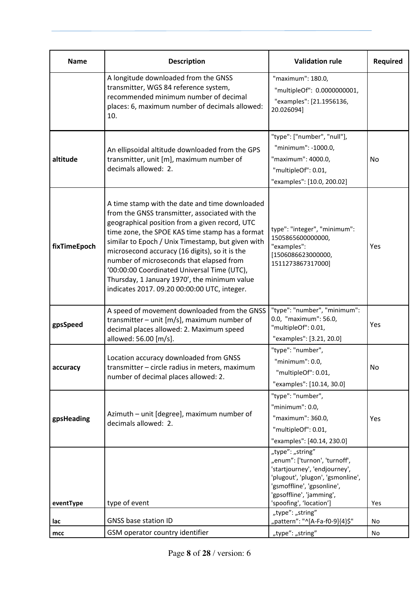| <b>Name</b>  | <b>Description</b>                                                                                                                                                                                                                                                                                                                                                                                                                                                                                      | <b>Validation rule</b>                                                                                                                                                                                       | Required |
|--------------|---------------------------------------------------------------------------------------------------------------------------------------------------------------------------------------------------------------------------------------------------------------------------------------------------------------------------------------------------------------------------------------------------------------------------------------------------------------------------------------------------------|--------------------------------------------------------------------------------------------------------------------------------------------------------------------------------------------------------------|----------|
|              | A longitude downloaded from the GNSS<br>transmitter, WGS 84 reference system,<br>recommended minimum number of decimal<br>places: 6, maximum number of decimals allowed:<br>10.                                                                                                                                                                                                                                                                                                                         | "maximum": 180.0,<br>"multipleOf": 0.0000000001,<br>"examples": [21.1956136,<br>20.026094]                                                                                                                   |          |
| altitude     | An ellipsoidal altitude downloaded from the GPS<br>transmitter, unit [m], maximum number of<br>decimals allowed: 2.                                                                                                                                                                                                                                                                                                                                                                                     | "type": ["number", "null"],<br>"minimum": -1000.0,<br>"maximum": 4000.0,<br>"multipleOf": 0.01,<br>"examples": [10.0, 200.02]                                                                                | No.      |
| fixTimeEpoch | A time stamp with the date and time downloaded<br>from the GNSS transmitter, associated with the<br>geographical position from a given record, UTC<br>time zone, the SPOE KAS time stamp has a format<br>similar to Epoch / Unix Timestamp, but given with<br>microsecond accuracy (16 digits), so it is the<br>number of microseconds that elapsed from<br>'00:00:00 Coordinated Universal Time (UTC),<br>Thursday, 1 January 1970', the minimum value<br>indicates 2017. 09.20 00:00:00 UTC, integer. | type": "integer", "minimum":<br>1505865600000000,<br>"examples":<br>[1506086623000000,<br>1511273867317000]                                                                                                  | Yes      |
| gpsSpeed     | A speed of movement downloaded from the GNSS<br>transmitter $-$ unit [m/s], maximum number of<br>decimal places allowed: 2. Maximum speed<br>allowed: 56.00 [m/s].                                                                                                                                                                                                                                                                                                                                      | "type": "number", "minimum":<br>0.0, "maximum": 56.0,<br>"multipleOf": 0.01,<br>"examples": [3.21, 20.0]                                                                                                     | Yes      |
| accuracy     | Location accuracy downloaded from GNSS<br>transmitter - circle radius in meters, maximum<br>number of decimal places allowed: 2.                                                                                                                                                                                                                                                                                                                                                                        | "type": "number",<br>"minimum": 0.0,<br>"multipleOf": 0.01,<br>"examples": [10.14, 30.0]                                                                                                                     | No       |
| gpsHeading   | Azimuth - unit [degree], maximum number of<br>decimals allowed: 2.                                                                                                                                                                                                                                                                                                                                                                                                                                      | "type": "number",<br>"minimum": $0.0$ ,<br>"maximum": 360.0,<br>"multipleOf": 0.01,<br>"examples": [40.14, 230.0]                                                                                            | Yes      |
| eventType    | type of event                                                                                                                                                                                                                                                                                                                                                                                                                                                                                           | "type": "string"<br>"enum": ['turnon', 'turnoff',<br>'startjourney', 'endjourney',<br>'plugout', 'plugon', 'gsmonline',<br>'gsmoffline', 'gpsonline',<br>'gpsoffline', 'jamming',<br>'spoofing', 'location'] | Yes      |
| lac          | <b>GNSS base station ID</b>                                                                                                                                                                                                                                                                                                                                                                                                                                                                             | "type": "string"<br>"pattern": "^[A-Fa-f0-9]{4}\$"                                                                                                                                                           | No       |
| $\sf{mcc}$   | GSM operator country identifier                                                                                                                                                                                                                                                                                                                                                                                                                                                                         | "type": "string"                                                                                                                                                                                             | No       |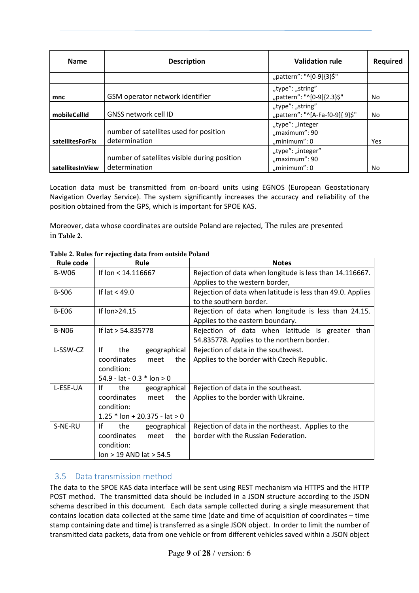| <b>Name</b>      | <b>Description</b>                                            | <b>Validation rule</b>                               | <b>Required</b> |
|------------------|---------------------------------------------------------------|------------------------------------------------------|-----------------|
|                  |                                                               | "pattern": "^[0-9]{3}\$"                             |                 |
| mnc              | GSM operator network identifier                               | "type": "string"<br>"pattern": "^[0-9]{2.3}\$"       | No.             |
| mobileCellId     | <b>GNSS network cell ID</b>                                   | "type": "string"<br>"pattern": "^[A-Fa-f0-9]{ 9}\$"  | No              |
| satellitesForFix | number of satellites used for position<br>determination       | "type": "integer<br>"maximum": 90<br>"minimum": $0$  | <b>Yes</b>      |
| satellitesInView | number of satellites visible during position<br>determination | "type": "integer"<br>"maximum": 90<br>"minimum": $0$ | No              |

Location data must be transmitted from on-board units using EGNOS (European Geostationary Navigation Overlay Service). The system significantly increases the accuracy and reliability of the position obtained from the GPS, which is important for SPOE KAS.

Moreover, data whose coordinates are outside Poland are rejected, The rules are presented in **Table 2**.

| <b>Rule code</b>                          | <b>Rule</b>                     | <b>Notes</b>                                               |
|-------------------------------------------|---------------------------------|------------------------------------------------------------|
| If lon < 14.116667<br><b>B-W06</b>        |                                 | Rejection of data when longitude is less than 14.116667.   |
|                                           |                                 | Applies to the western border,                             |
| <b>B-S06</b>                              | If $lat < 49.0$                 | Rejection of data when latitude is less than 49.0. Applies |
|                                           |                                 | to the southern border.                                    |
| <b>B-E06</b>                              | If lon>24.15                    | Rejection of data when longitude is less than 24.15.       |
|                                           |                                 | Applies to the eastern boundary.                           |
| <b>B-N06</b>                              | If lat > 54.835778              | Rejection of data when latitude is greater<br>than         |
|                                           |                                 | 54.835778. Applies to the northern border.                 |
| L-SSW-CZ                                  | lf<br>the<br>geographical       | Rejection of data in the southwest.                        |
|                                           | coordinates<br>meet<br>the      | Applies to the border with Czech Republic.                 |
|                                           | condition:                      |                                                            |
|                                           | 54.9 - lat - 0.3 $*$ lon > 0    |                                                            |
| L-ESE-UA                                  | lf<br>the<br>geographical       | Rejection of data in the southeast.                        |
|                                           | coordinates<br>meet<br>the      | Applies to the border with Ukraine.                        |
|                                           | condition:                      |                                                            |
|                                           | $1.25 *$ lon + 20.375 - lat > 0 |                                                            |
| S-NE-RU                                   | Ιf<br>the<br>geographical       | Rejection of data in the northeast. Applies to the         |
|                                           | coordinates<br>meet<br>the      | border with the Russian Federation.                        |
| condition:<br>$lon > 19$ AND $lat > 54.5$ |                                 |                                                            |
|                                           |                                 |                                                            |

**Table 2. Rules for rejecting data from outside Poland**

## 3.5 Data transmission method

The data to the SPOE KAS data interface will be sent using REST mechanism via HTTPS and the HTTP POST method. The transmitted data should be included in a JSON structure according to the JSON schema described in this document. Each data sample collected during a single measurement that contains location data collected at the same time (date and time of acquisition of coordinates – time stamp containing date and time) is transferred as a single JSON object. In order to limit the number of transmitted data packets, data from one vehicle or from different vehicles saved within a JSON object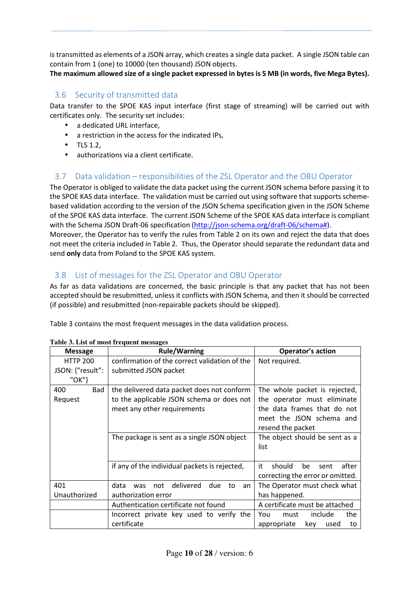is transmitted as elements of a JSON array, which creates a single data packet. A single JSON table can contain from 1 (one) to 10000 (ten thousand) JSON objects.

**The maximum allowed size of a single packet expressed in bytes is 5 MB (in words, five Mega Bytes).** 

## 3.6 Security of transmitted data

Data transfer to the SPOE KAS input interface (first stage of streaming) will be carried out with certificates only. The security set includes:

- a dedicated URL interface,
- a restriction in the access for the indicated IPs,
- TLS 1.2,
- authorizations via a client certificate.

## 3.7 Data validation – responsibilities of the ZSL Operator and the OBU Operator

The Operator is obliged to validate the data packet using the current JSON schema before passing it to the SPOE KAS data interface. The validation must be carried out using software that supports schemebased validation according to the version of the JSON Schema specification given in the JSON Scheme of the SPOE KAS data interface. The current JSON Scheme of the SPOE KAS data interface is compliant with the Schema JSON Draft-06 specification (http://json-schema.org/draft-06/schema#).

Moreover, the Operator has to verify the rules from Table 2 on its own and reject the data that does not meet the criteria included in Table 2. Thus, the Operator should separate the redundant data and send **only** data from Poland to the SPOE KAS system.

## 3.8 List of messages for the ZSL Operator and OBU Operator

As far as data validations are concerned, the basic principle is that any packet that has not been accepted should be resubmitted, unless it conflicts with JSON Schema, and then it should be corrected (if possible) and resubmitted (non-repairable packets should be skipped).

Table 3 contains the most frequent messages in the data validation process.

| <b>Message</b>    | <b>Rule/Warning</b>                                       | <b>Operator's action</b>            |
|-------------------|-----------------------------------------------------------|-------------------------------------|
| <b>HTTP 200</b>   | confirmation of the correct validation of the             | Not required.                       |
| JSON: {"result":  | submitted JSON packet                                     |                                     |
| "OK"}             |                                                           |                                     |
| 400<br><b>Bad</b> | the delivered data packet does not conform                | The whole packet is rejected,       |
| Request           | to the applicable JSON schema or does not                 | the operator must eliminate         |
|                   | meet any other requirements                               | the data frames that do not         |
|                   |                                                           | meet the JSON schema and            |
|                   |                                                           | resend the packet                   |
|                   | The package is sent as a single JSON object               | The object should be sent as a      |
|                   |                                                           | list                                |
|                   |                                                           |                                     |
|                   | if any of the individual packets is rejected,             | it<br>should<br>after<br>be<br>sent |
|                   |                                                           | correcting the error or omitted.    |
| 401               | delivered<br>data<br>due<br>not<br>to<br><b>was</b><br>an | The Operator must check what        |
| Unauthorized      | authorization error                                       | has happened.                       |
|                   | Authentication certificate not found                      | A certificate must be attached      |
|                   | Incorrect private key used to verify the                  | include<br>the<br>You<br>must       |
|                   | certificate                                               | appropriate<br>key<br>used<br>to    |

#### **Table 3. List of most frequent messages**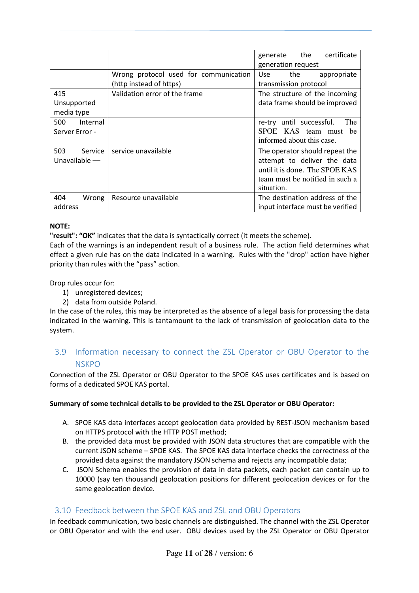|                                   |                                                                  | generate the<br>certificate<br>generation request                                                                                                |
|-----------------------------------|------------------------------------------------------------------|--------------------------------------------------------------------------------------------------------------------------------------------------|
|                                   | Wrong protocol used for communication<br>(http instead of https) | Use the<br>appropriate<br>transmission protocol                                                                                                  |
| 415<br>Unsupported<br>media type  | Validation error of the frame                                    | The structure of the incoming<br>data frame should be improved                                                                                   |
| 500<br>Internal<br>Server Error - |                                                                  | re-try until successful.<br>The<br>SPOE KAS team must be<br>informed about this case.                                                            |
| 503<br>Service<br>Unavailable $-$ | service unavailable                                              | The operator should repeat the<br>attempt to deliver the data<br>until it is done. The SPOE KAS<br>team must be notified in such a<br>situation. |
| 404<br>Wrong<br>address           | Resource unavailable                                             | The destination address of the<br>input interface must be verified                                                                               |

#### **NOTE:**

**"result": "OK"** indicates that the data is syntactically correct (it meets the scheme).

Each of the warnings is an independent result of a business rule. The action field determines what effect a given rule has on the data indicated in a warning. Rules with the "drop" action have higher priority than rules with the "pass" action.

Drop rules occur for:

- 1) unregistered devices;
- 2) data from outside Poland.

In the case of the rules, this may be interpreted as the absence of a legal basis for processing the data indicated in the warning. This is tantamount to the lack of transmission of geolocation data to the system.

## 3.9 Information necessary to connect the ZSL Operator or OBU Operator to the **NSKPO**

Connection of the ZSL Operator or OBU Operator to the SPOE KAS uses certificates and is based on forms of a dedicated SPOE KAS portal.

#### Summary of some technical details to be provided to the ZSL Operator or OBU Operator:

- A. SPOE KAS data interfaces accept geolocation data provided by REST-JSON mechanism based on HTTPS protocol with the HTTP POST method;
- B. the provided data must be provided with JSON data structures that are compatible with the current JSON scheme – SPOE KAS. The SPOE KAS data interface checks the correctness of the provided data against the mandatory JSON schema and rejects any incompatible data;
- C. JSON Schema enables the provision of data in data packets, each packet can contain up to 10000 (say ten thousand) geolocation positions for different geolocation devices or for the same geolocation device.

### 3.10 Feedback between the SPOE KAS and ZSL and OBU Operators

In feedback communication, two basic channels are distinguished. The channel with the ZSL Operator or OBU Operator and with the end user. OBU devices used by the ZSL Operator or OBU Operator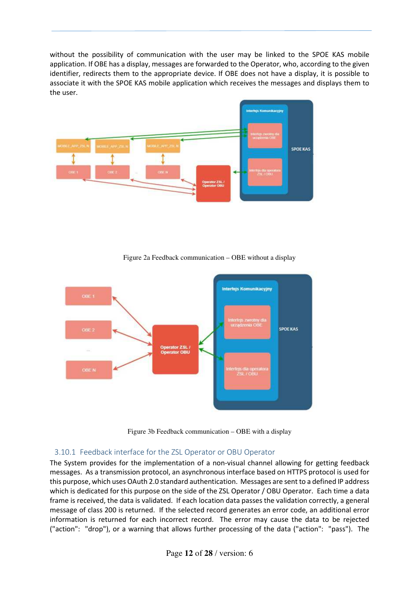without the possibility of communication with the user may be linked to the SPOE KAS mobile application. If OBE has a display, messages are forwarded to the Operator, who, according to the given identifier, redirects them to the appropriate device. If OBE does not have a display, it is possible to associate it with the SPOE KAS mobile application which receives the messages and displays them to the user.



Figure 2a Feedback communication – OBE without a display



Figure 3b Feedback communication – OBE with a display

### 3.10.1 Feedback interface for the ZSL Operator or OBU Operator

The System provides for the implementation of a non-visual channel allowing for getting feedback messages. As a transmission protocol, an asynchronous interface based on HTTPS protocol is used for this purpose, which uses OAuth 2.0 standard authentication. Messages are sent to a defined IP address which is dedicated for this purpose on the side of the ZSL Operator / OBU Operator. Each time a data frame is received, the data is validated. If each location data passes the validation correctly, a general message of class 200 is returned. If the selected record generates an error code, an additional error information is returned for each incorrect record. The error may cause the data to be rejected ("action": "drop"), or a warning that allows further processing of the data ("action": "pass"). The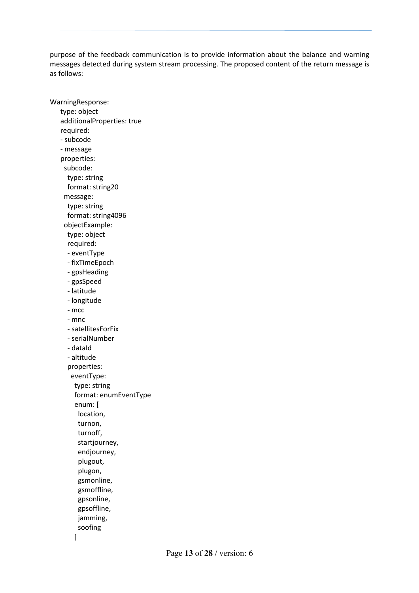purpose of the feedback communication is to provide information about the balance and warning messages detected during system stream processing. The proposed content of the return message is as follows:

WarningResponse: type: object additionalProperties: true required: - subcode - message properties: subcode: type: string format: string20 message: type: string format: string4096 objectExample: type: object required: - eventType - fixTimeEpoch - gpsHeading - gpsSpeed - latitude - longitude - mcc - mnc - satellitesForFix - serialNumber - dataId - altitude properties: eventType: type: string format: enumEventType enum: [ location, turnon, turnoff, startjourney, endjourney, plugout, plugon, gsmonline, gsmoffline, gpsonline, gpsoffline, jamming, soofing

]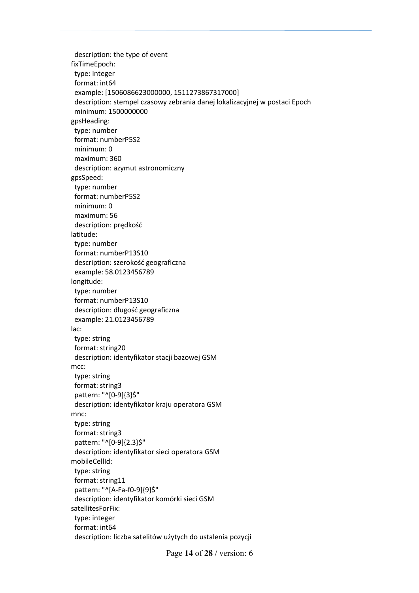description: the type of event fixTimeEpoch: type: integer format: int64 example: [1506086623000000, 1511273867317000] description: stempel czasowy zebrania danej lokalizacyjnej w postaci Epoch minimum: 1500000000 gpsHeading: type: number format: numberP5S2 minimum: 0 maximum: 360 description: azymut astronomiczny gpsSpeed: type: number format: numberP5S2 minimum: 0 maximum: 56 description: prędkość latitude: type: number format: numberP13S10 description: szerokość geograficzna example: 58.0123456789 longitude: type: number format: numberP13S10 description: długość geograficzna example: 21.0123456789 lac: type: string format: string20 description: identyfikator stacji bazowej GSM mcc: type: string format: string3 pattern: "^[0-9]{3}\$" description: identyfikator kraju operatora GSM mnc: type: string format: string3 pattern: "^[0-9]{2.3}\$" description: identyfikator sieci operatora GSM mobileCellId: type: string format: string11 pattern: "^[A-Fa-f0-9]{9}\$" description: identyfikator komórki sieci GSM satellitesForFix: type: integer format: int64 description: liczba satelitów użytych do ustalenia pozycji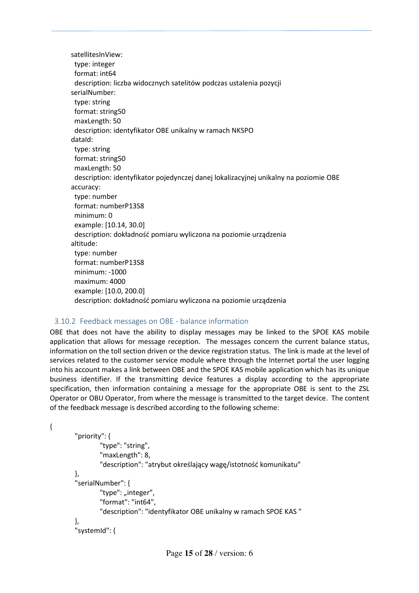satellitesInView: type: integer format: int64 description: liczba widocznych satelitów podczas ustalenia pozycji serialNumber: type: string format: string50 maxLength: 50 description: identyfikator OBE unikalny w ramach NKSPO dataId: type: string format: string50 maxLength: 50 description: identyfikator pojedynczej danej lokalizacyjnej unikalny na poziomie OBE accuracy: type: number format: numberP13S8 minimum: 0 example: [10.14, 30.0] description: dokładność pomiaru wyliczona na poziomie urządzenia altitude: type: number format: numberP13S8 minimum: -1000 maximum: 4000 example: [10.0, 200.0] description: dokładność pomiaru wyliczona na poziomie urządzenia

### 3.10.2 Feedback messages on OBE - balance information

OBE that does not have the ability to display messages may be linked to the SPOE KAS mobile application that allows for message reception. The messages concern the current balance status, information on the toll section driven or the device registration status. The link is made at the level of services related to the customer service module where through the Internet portal the user logging into his account makes a link between OBE and the SPOE KAS mobile application which has its unique business identifier. If the transmitting device features a display according to the appropriate specification, then information containing a message for the appropriate OBE is sent to the ZSL Operator or OBU Operator, from where the message is transmitted to the target device. The content of the feedback message is described according to the following scheme:

```
{
```

```
 "priority": { 
         "type": "string", 
         "maxLength": 8, 
         "description": "atrybut określający wagę/istotność komunikatu" 
 }, 
 "serialNumber": { 
        "type": "integer",
         "format": "int64", 
         "description": "identyfikator OBE unikalny w ramach SPOE KAS " 
 }, 
 "systemId": {
```
Page **15** of **28** / version: 6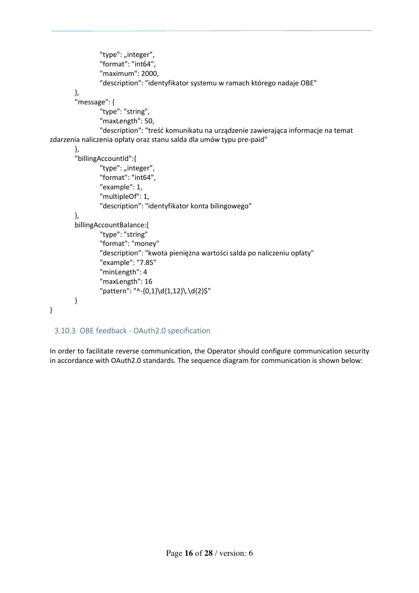```
"type": "integer",
                  "format": "int64", 
                  "maximum": 2000, 
                  "description": "identyfikator systemu w ramach którego nadaje OBE" 
         }, 
         "message": { 
                  "type": "string", 
                  "maxLength": 50, 
                  "description": "treść komunikatu na urządzenie zawierająca informacje na temat 
zdarzenia naliczenia opłaty oraz stanu salda dla umów typu pre-paid" 
         }, 
        "billingAccountId":{ 
                 "type": "integer",
                  "format": "int64", 
                  "example": 1, 
                  "multipleOf": 1, 
                  "description": "identyfikator konta bilingowego" 
        }, 
        billingAccountBalance:{ 
                  "type": "string" 
                  "format": "money" 
                  "description": "kwota pieniężna wartości salda po naliczeniu opłaty" 
                  "example": "7.85" 
                  "minLength": 4 
                  "maxLength": 16 
                  "pattern": "^-{0,1}\d{1,12}\.\d{2}$" 
        } 
}
```
### 3.10.3 OBE feedback - OAuth2.0 specification

In order to facilitate reverse communication, the Operator should configure communication security in accordance with OAuth2.0 standards. The sequence diagram for communication is shown below: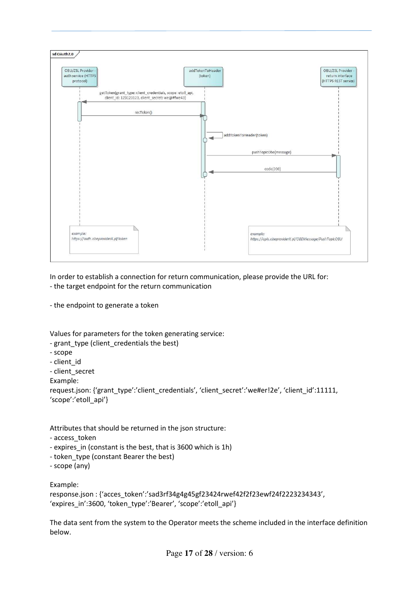

In order to establish a connection for return communication, please provide the URL for: - the target endpoint for the return communication

- the endpoint to generate a token

Values for parameters for the token generating service:

- grant type (client credentials the best)

- scope
- client\_id
- client\_secret

Example:

request.json: {'grant\_type':'client\_credentials', 'client\_secret':'we#er!2e', 'client\_id':11111, 'scope':'etoll\_api'}

Attributes that should be returned in the json structure:

- access\_token
- expires in (constant is the best, that is 3600 which is 1h)
- token type (constant Bearer the best)
- scope (any)

Example:

response.json : {'acces\_token':'sad3rf34g4g45gf23424rwef42f2f23ewf24f2223234343', 'expires\_in':3600, 'token\_type':'Bearer', 'scope':'etoll\_api'}

The data sent from the system to the Operator meets the scheme included in the interface definition below.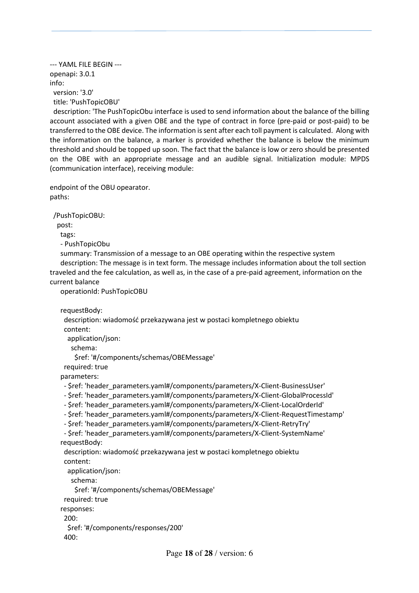--- YAML FILE BEGIN -- openapi: 3.0.1 info: version: '3.0' title: 'PushTopicOBU'

 description: 'The PushTopicObu interface is used to send information about the balance of the billing account associated with a given OBE and the type of contract in force (pre-paid or post-paid) to be transferred to the OBE device. The information is sent after each toll payment is calculated. Along with the information on the balance, a marker is provided whether the balance is below the minimum threshold and should be topped up soon. The fact that the balance is low or zero should be presented on the OBE with an appropriate message and an audible signal. Initialization module: MPDS (communication interface), receiving module:

endpoint of the OBU opearator. paths:

/PushTopicOBU:

post:

tags:

- PushTopicObu

 summary: Transmission of a message to an OBE operating within the respective system description: The message is in text form. The message includes information about the toll section traveled and the fee calculation, as well as, in the case of a pre-paid agreement, information on the current balance

operationId: PushTopicOBU

requestBody:

 description: wiadomość przekazywana jest w postaci kompletnego obiektu content:

application/json:

schema:

\$ref: '#/components/schemas/OBEMessage'

required: true

parameters:

- \$ref: 'header\_parameters.yaml#/components/parameters/X-Client-BusinessUser'
- \$ref: 'header\_parameters.yaml#/components/parameters/X-Client-GlobalProcessId'
- \$ref: 'header\_parameters.yaml#/components/parameters/X-Client-LocalOrderId'
- \$ref: 'header\_parameters.yaml#/components/parameters/X-Client-RequestTimestamp'
- \$ref: 'header\_parameters.yaml#/components/parameters/X-Client-RetryTry'

```
 - $ref: 'header_parameters.yaml#/components/parameters/X-Client-SystemName' 
 requestBody:
```
 description: wiadomość przekazywana jest w postaci kompletnego obiektu content:

```
 application/json: 
    schema: 
     $ref: '#/components/schemas/OBEMessage' 
  required: true 
 responses: 
  200: 
   $ref: '#/components/responses/200' 
  400:
```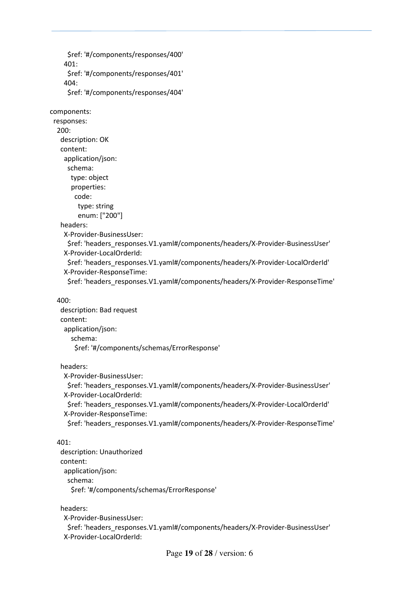```
 $ref: '#/components/responses/400' 
 401: 
  $ref: '#/components/responses/401' 
 404: 
  $ref: '#/components/responses/404'
```
components:

 responses: 200: description: OK content: application/json: schema: type: object properties: code: type: string enum: ["200"]

headers:

X-Provider-BusinessUser:

\$ref: 'headers\_responses.V1.yaml#/components/headers/X-Provider-BusinessUser' X-Provider-LocalOrderId:

 \$ref: 'headers\_responses.V1.yaml#/components/headers/X-Provider-LocalOrderId' X-Provider-ResponseTime:

\$ref: 'headers\_responses.V1.yaml#/components/headers/X-Provider-ResponseTime'

#### 400:

 description: Bad request content: application/json: schema: \$ref: '#/components/schemas/ErrorResponse'

#### headers:

X-Provider-BusinessUser:

\$ref: 'headers\_responses.V1.yaml#/components/headers/X-Provider-BusinessUser' X-Provider-LocalOrderId:

 \$ref: 'headers\_responses.V1.yaml#/components/headers/X-Provider-LocalOrderId' X-Provider-ResponseTime:

\$ref: 'headers\_responses.V1.yaml#/components/headers/X-Provider-ResponseTime'

#### 401:

 description: Unauthorized content: application/json: schema: \$ref: '#/components/schemas/ErrorResponse'

#### headers:

X-Provider-BusinessUser:

 \$ref: 'headers\_responses.V1.yaml#/components/headers/X-Provider-BusinessUser' X-Provider-LocalOrderId: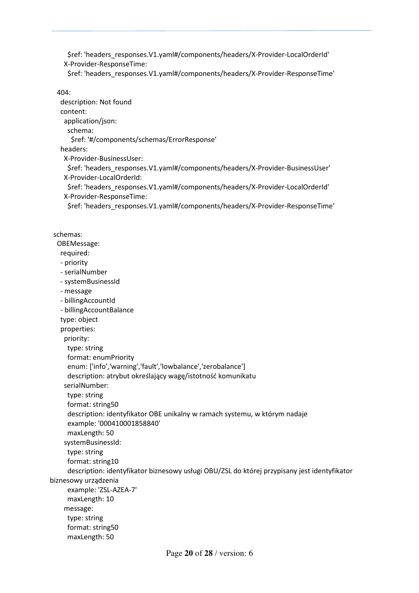\$ref: 'headers\_responses.V1.yaml#/components/headers/X-Provider-LocalOrderId' X-Provider-ResponseTime:

\$ref: 'headers\_responses.V1.yaml#/components/headers/X-Provider-ResponseTime'

404:

 description: Not found content: application/json: schema: \$ref: '#/components/schemas/ErrorResponse' headers: X-Provider-BusinessUser: \$ref: 'headers\_responses.V1.yaml#/components/headers/X-Provider-BusinessUser' X-Provider-LocalOrderId: \$ref: 'headers\_responses.V1.yaml#/components/headers/X-Provider-LocalOrderId' X-Provider-ResponseTime: \$ref: 'headers\_responses.V1.yaml#/components/headers/X-Provider-ResponseTime' schemas: OBEMessage: required: - priority - serialNumber - systemBusinessId - message - billingAccountId - billingAccountBalance type: object properties: priority: type: string format: enumPriority enum: ['info','warning','fault','lowbalance','zerobalance'] description: atrybut określający wagę/istotność komunikatu serialNumber: type: string

format: string50

 description: identyfikator OBE unikalny w ramach systemu, w którym nadaje example: '000410001858840'

maxLength: 50

systemBusinessId:

type: string

format: string10

 description: identyfikator biznesowy usługi OBU/ZSL do której przypisany jest identyfikator biznesowy urządzenia

 example: 'ZSL-AZEA-7' maxLength: 10 message: type: string format: string50 maxLength: 50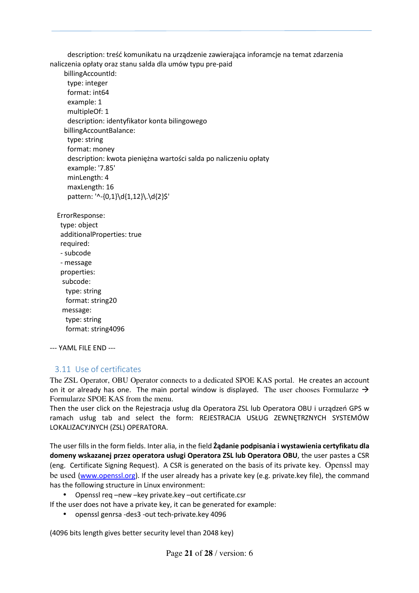description: treść komunikatu na urządzenie zawierająca inforamcje na temat zdarzenia naliczenia opłaty oraz stanu salda dla umów typu pre-paid

 billingAccountId: type: integer format: int64 example: 1 multipleOf: 1 description: identyfikator konta bilingowego billingAccountBalance: type: string format: money description: kwota pieniężna wartości salda po naliczeniu opłaty example: '7.85' minLength: 4 maxLength: 16 pattern: '^-{0,1}\d{1,12}\.\d{2}\$'

 ErrorResponse: type: object additionalProperties: true

required:

 - subcode - message properties: subcode: type: string format: string20 message: type: string format: string4096

--- YAML FILE END ---

## 3.11 Use of certificates

The ZSL Operator, OBU Operator connects to a dedicated SPOE KAS portal. He creates an account on it or already has one. The main portal window is displayed. The user chooses Formularze  $\rightarrow$ Formularze SPOE KAS from the menu.

Then the user click on the Rejestracja usług dla Operatora ZSL lub Operatora OBU i urządzeń GPS w ramach usług tab and select the form: REJESTRACJA USŁUG ZEWNĘTRZNYCH SYSTEMÓW LOKALIZACYJNYCH (ZSL) OPERATORA.

The user fills in the form fields. Inter alia, in the field **Żądanie podpisania i wystawienia certyfikatu dla domeny wskazanej przez operatora usługi Operatora ZSL lub Operatora OBU**, the user pastes a CSR (eng. Certificate Signing Request). A CSR is generated on the basis of its private key. Openssl may be used (www.openssl.org). If the user already has a private key (e.g. private.key file), the command has the following structure in Linux environment:

• Openssl req –new –key private.key –out certificate.csr

If the user does not have a private key, it can be generated for example:

• openssl genrsa -des3 -out tech-private.key 4096

(4096 bits length gives better security level than 2048 key)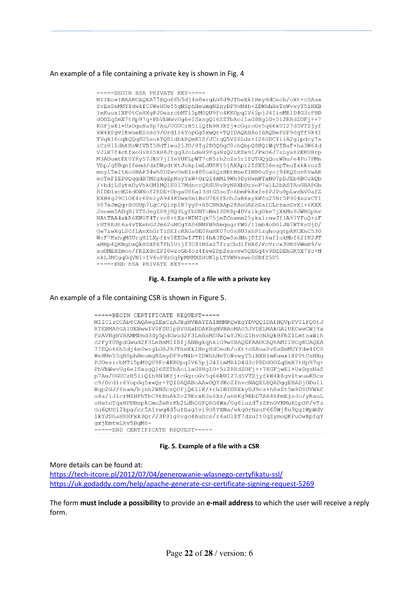#### An example of a file containing a private key is shown in Fig. 4

-----BEGIN RSA PRIVATE KEY-----MIIEowIBAAKCAOEA77EOo66h5di4n0wrgLG8J9JTheXkIHnvHdCeoh/oXt+cSAua SvEsSeMUYYdw4fC0WeHUe55qNSphHeumgNZnyDP9vM4b+ZDWhhHeToWvwyY5iNXB 1mKuux1XP0tCsHXqPJOezrcbMTi5pM0QU9Fc4KKOpqIV65pjJ4IinMRlD4G3cPBD d00ZqSmX7tHp97q+PbVbWwvUq6eISxsqQ16SZTbAoi1aG8HqI0+5i2RRdZOFj++7 KGFjwEl+UxDgsNaSp7Au/UGUCzH51iQIh9N3Kfj+cGgroGv5q66kUI27d5VTZjyf kW4k8qvltwueKScsc9/Ordlr6YopGq5xwQr+TQIDAQABAoIBAQDePSF9cqTf9X4I TVgkl6cgk00gSU5sokTOSidbkROmKlS/JCrg05VZ6Ldz+1260DCYiiA2glpdcy7a zCz0lldhtHsWfVBI5HdTleu2iJO/8Ig2DGQOgC8chQbpQ8HQ1WqVIBaF+ha3W64d VJ1H7f4ctfxoGi8S5XH8Jtqq3JoLdeH9YqaNzQ2LKSx91/PxO6J7sLya82KKUBrp M3A0umtEt0YRy57JkV7j1YeYUFLpWT7cR5rh2cZs5r1fQTGQjQorWBu/e4Po7PMn Vbp/qDBqnifemd/dxDWydtXtJukp1mLdUSK15jAXApr2ZSXZ56espTnuIxkkvuzZ mnyl5mItAoGBAP34wh8DZwvUeKIn408osSQzHEtMnefIMB0u0yoj94RQZuv8VwAR eoTeFIEPOQqqdB7MSqkqZpNuyYxW+OrQI4mMl9Wh9DyHwnWTxNO7pDJEb6BCukQb /+bdjLSytmDyVhkGMlMQ1E017MdncrQRSURvByNRXbDzzoP7wlL2bASTAoGBAPGb HIDD1xcHZkdOWNof2RDE+UbgaU86aI3dtGSsoTo6bmPkXxfe6PJPu8pLwzhVOafZ EXH4qJ9CiOE4r6PelyA944KDwx8mlBsU7E6fEchJaR6xykW8u25Nr5P304szxCTI 987eJmQq+BGUUp7LqC/QlcpiR7yyP+h5CNNkAp2fAoGAEcSaiCLrzacSvX1+6KXX Jsowm5ADqBiYTSJegZ88jNQ3LyFbUNToNm13D8Rp4DVzikgOke7jXkMs9JWNGphv NAtTAA4xkR6KW0F4Trvc8+tXx+WDNIqk75jmZCnwmn25ykxlruwJflA97YFuQ+zF rHT8Edt6a4vTEebGJJm62uMCgYA06NMFH9AmqugrFW0/11mh4oD01JB7WT8sUjD/ Gw7zwXgLSCfLAnXhGrT1SEIoRAGsUE0RuHK07c0sBU3xhP1zghogqtpAKCKnC530 WcF7KxhqMGUrgHlLXpfkv5EEGwIJTDl4hA3EQeSxdNnjDI216ufiukMbf62fK2JT aMNp4QKBgDxQkHSX8E7FhlUijf3C8IMZsZ7frzCbdIfNX6/PcVrcx3UKSVWmB9/v auOMEHZmoo/FRZXdcZPI0wzcGb4oz4few2Dp2savew5QEGq4v3DZDEhGK5X7Yc+M skL3MCgqGqVN1+fV4uFHzGqPpMKMXZHUKlpLTVWNvswe0SBfZ5U5 -----END RSA PRIVATE KEY-----

#### **Fig. 4. Example of a file with a private key**

An example of a file containing CSR is shown in Figure 5.

-----BEGIN CERTIFICATE REQUEST-----MIIC1zCCAb8CAOAwgZExCzAJBgNVBAYTA1BMMROwEgYDVOOIDAtNOVpPV01FO0tJ RTERMA8GA1UEBwwIV0FSU1pBV0ExDDAKBqNVBAoMA05JVDELMAkGA1UECwwCWjYx FzAVBgNVBAMMDnd3dy5pdGwud2F3LnBsMSUwIwYJKoZIhvcNAQkBFhZlLmtsaW1h c2FyYUBpdGwud2F3LnBsMIIBIjANBqkqhkiG9w0BAQEFAAOCAQ8AMIIBCqKCAQEA 77EQo66h5dj4n0wrgLG8J9JTheXkIHnyHdCeoh/oXt+cSAuaSvEsSeMUYYdw4fC0 WeHUe55qNSphHeumgNZnyDP9vM4b+ZDWhhHeToWvwyY5iNXB1mKuux1XP0tCsHXg PJOezrcbMTi5pM0QU9Fc4KKOpqIV65pjJ4IinMRlD4G3cPBDdOOZqSmX7tHp97q+ PbVbWwvUq6eISxsqQl6SZTbAoilaG8HqIO+5i2RRdZOFj++7KGFjwEl+UxDqsNaS p7Au/UGUCzH51iOIh9N3Kfj+cGqroGv5q66kUI27d5VTZjyfkW4k8qvltwueKScs c9/Ordlr6YopGg5xwQr+TQIDAQABoAAwDQYJKoZIhvcNAQELBQADggEBADjODu1l Wqp2GJ/8nam/bjnh2WNSczQ0FjQ6IiK/+rh1BfOREky0J9cz+hRsZt5m9D8UVWkC u4a/iJicrMZHPhTbC9tKuAk2c29ErxKJeSXr/anRKg9EbD7AB4RFmEjsJo/yRauL oHetcTqxNPDBspkCmo2eRrKb2LdhCGFQRG4Wx/Gq6iuzd7zZKnOVKMuELpOP/vTz Gu6QUDi2kpq/cr5A1rwq4d5uIEaq1vi9G8YXNa/wkqOrNsuP660Wj8u9QqIWpWdV ikYJShaHRHFxk3Qr//3P31g0vgc4AuDcs/r4aOlET7dzuIt0qZymoQKPuOwXpfgY gxjEmtwLRv5BqM8= -----END CERTIFICATE REQUEST-----

**Fig. 5. Example of a file with a CSR**

More details can be found at: https://tech-itcore.pl/2012/07/04/generowanie-wlasnego-certyfikatu-ssl/ https://uk.godaddy.com/help/apache-generate-csr-certificate-signing-request-5269

The form **must include a possibility** to provide an **e-mail address** to which the user will receive a reply form.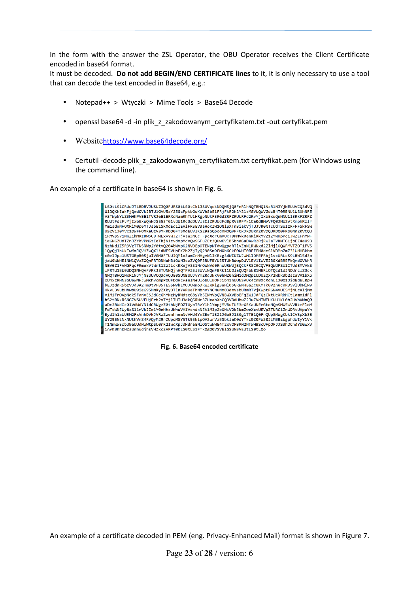In the form with the answer the ZSL Operator, the OBU Operator receives the Client Certificate encoded in base64 format.

It must be decoded. **Do not add BEGIN/END CERTIFICATE lines** to it, it is only necessary to use a tool that can decode the text encoded in Base64, e.g.:

- Notepad++ > Wtyczki > Mime Tools > Base64 Decode
- openssl base64 -d -in plik\_z\_zakodowanym\_certyfikatem.txt -out certyfikat.pem
- Websitehttps://www.base64decode.org/
- Certutil -decode plik\_z\_zakodowanym\_certyfikatem.txt certyfikat.pem (for Windows using the command line).

An example of a certificate in base64 is shown in Fig. 6.

ا 1961 S1CRUdJTiBDRVJUSUZJOAEURSAtl SAtCk1JSUVgekNDOW5jOAEnR1hNOTBHO1NxR1NJYjNEUUVCO3dVO TAM9WhHF1NM10VzZ00nERTDNNaHR10MN1czZV00F3RUFRYU55TUhRdwpDUV1FV1TwVFJRSXdRRFFk0md0VkhR IFRTU1Bb0dDQ3NHQVFVRkJ3TUNNQjhHQTFVZE13UV1NQmFBRk11bD1aQUQKbk81NERiOTQzd1dJNDUrc1Z3ck<br>NNQTBHQ1NxR1NJYjNEUUVCQ3dVQUE0SUNBUUJvYmZRdUNkV0hHZ0hiM1dDMQpIUDU2QXY2Wkk3b2szaVA1bXp xUmxzRHN3SU5wNHJWMkhvcmpPQUFDdHcyan1NeU1obU1kOFJ1bm1hUUNSVUK4CnBXcXdhL1J0Q1JidEdEL0pH<br>bEJzdnR5bzVJd3A2Tm9tVFB5TE55WVhLMUJUWmo3RWZxR1g3aH10SGRWNHBaZC8KMTk0V2hucnR3SV1UbW1NV HkvL3VubHhwbU9ieG95MmRvZXkvOTlnYVROeThNbnVYNGNuNm03dmVsbURmRTViKwptRGN4VUE5MiNLcXliMm hS2tRNkRSNGZVSLIVELLIErh2xTVilTLITLI3dkO5RWc3ZLIxahXhCO3VDdHhwZ2JuZVdTWELIKLILI1KLQh2LIVhVWnOQ aDc2RWdOc01VdWdYN1dCRWgzZ0thNjFDZTUybTRzY1h1YmpjMVBuTUE3eXRKaUNEeGtoNQpSMW5WVVRkeFloM FdTcWNFUv8zS11mVkJZe1Y0eHhzUWhuVH1VcndxNFt1M3n2bXNjV2k5bmZweXcvUFVnZTNRC1ZnUDRtUVnuYn UY29EN1NxNUthVm84RVQyM29rZUpqMGY5Tk9EN1p0V2wrVzBSbk1aK0dYTkc0Z0FWS0J1M3BibgphdWIyY1Vk 1AyK3hhbHZsUnhudjhsVHZxc2VRPT0KLS0tLS1FTkQgQ0VSVE1GSUNBVEUtLS0tLQo=

**Fig. 6. Base64 encoded certificate** 

An example of a certificate decoded in PEM (eng. Privacy-Enhanced Mail) format is shown in Figure 7.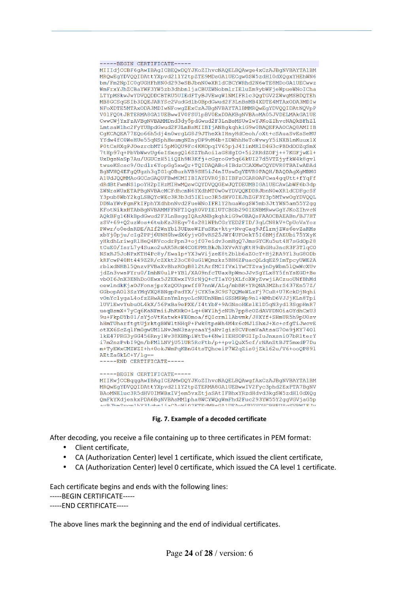----BEGIN CERTIFICATE---MIIIdiCCBF6qAwIBAqICBEOwDOYJKoZIbycNAOELBOAwge4xCzAJBqNVBAYTA1BM MRQwEgYDVQQIDAttYXpvd211Y2tpZTE9MDsGA1UECgw0SW5zdH10dXQgxYHEhWN6 bm/Fm2NpIC0qUGHFhHN0d293eSBJbnN0eXR1dCBCYWRhd2N6eTE8MDoGA1UECwwz WmFrxYJhZCBaYWF3YW5zb3dhbnljaCBUZWNobmlrIEluZm9ybWFjeWpueWNoICha LTYpMSkwJwYDVQQDDCBTRU5UIEdFTyBJVEwqW1NMIFR1c3QqTGV2ZWwqMSBDQTEh MB8GCSqGSIb3DQEJARYSc2VudGdlb0BpdGwud2F3LnBsMB4XDTE4MTAxODA3MDIw NFoXDTE5MTAxODA3MDIwNFowgZExCzAJBgNVBAYTA1BMMRQwEgYDVQQIDAtNQVpP VO1FQ0tJRTERMA8GA1UEBwwIV0FSU1pBV0ExDDAKBqNVBAoMA05JVDELMAkGA1UE CwwCWjYxFzAVBqNVBAMMDnd3dy5pdGwud2F3LnBsMSUwIwYJKoZIhvcNAQkBFhZ1 LmtsaW1hc2FyYUBpdGwud2F3LnBsMIIBIjANBgkqhkiG9w0BAQEFAAOCAQ8AMIIB CqKCAQEA77EQo66h5dj4n0wrqLG8J9JTheXkIHnyHdCeoh/oXt+cSAuaSvEsSeMU YYdw4fC0WeHUe55qNSphHeumgNZnyDP9vM4b+ZDWhhHeToWvwyY5iNXB1mKuux1X P0tCsHXgPJOezrcbMTi5pM0QU9Fc4KKOpqIV65pjJ4IinMRlD4G3cPBDdOOZqSmX 7tHp97q+PbVbWwvUq6eISxsqQ16SZTbAoilaG8HqIO+5i2RRdZOFj++7KGFjwEl+ UxDgsNaSp7Au/UGUCzH51iQIh9N3Kfj+cGgroGv5q66kUI27d5VTZjyfkW4k8qvl twueKScsc9/Ordlr6YopGg5xwQr+TQIDAQABo4IBdzCCAXMwCQYDVR0TBAIwADAd BgNVHQ4EFgQUgzh3qIG1qOBurhVB9SH5iJ4nIUswDgYDVR0PAQH/BAQDAgXgMBMG A1UdJQQMMAoGCCsGAQUFBwMCMIIBIAYDVR0jBIIBFzCCAROAFCwa4gqUtt+fYqFf dRdBtFwmNS1poYH2pIHzMIHwMQswCQYDVQQGEwJQTDEUMBIGA1UECAwLbWF6b3dp ZWNraWUxETAPBqNVBAcMCFdhcnN6YXdhMT0wOwYDVOOKDDRJbnN0eXR1dCDFqcSF Y3pub8WbY2kgLSBQYcWEc3R3b3d5IEluc3R5dHV0IEJhZGF3Y3p5MTwwOgYDVQQL DDNaYWvFgmFkIFphYXdhbnNvd2FueWNoIFRlY2huaWsgSW5mb3JtYWN5am55Y2gg KFotNikxHTAbBgNVBAMMFFNFT1QgR0VPIE1UTCBSb290IENBMRwwGgYJKoZIhvcN AQkBFg16NkBpdGwud2F3LnBsggIQAzANBgkqhkiG9w0BAQsFAAOCBAEABn/BJ7HT zSV+69+Q2uzWos+6tubKzJ8Eqv74s281WPhCGrYED2FID/3qLCN8kV+CpUoVaYoz PWwr/o0ednRDE/AIf2WnYb13UDxeWIFuSKx+kty+NvqCaq9JflrmjZWs6evZaRMs xbYj0pju/cIg2PPj6UNH0hwdX6yjvO8vRS25JWY4UFOekT5I6BMjfAEUbi75YXyK yHkdhLriwgRlHeQ4RVcodrPpn3+ojf07eidv3omHgQ7JmsGYCKu5ut4H7sGdOp28 tCuE0/IsrL7y4Suxo2uAR5RcW4COEPMtBkJh3XVvAYqKtH9dhGHu3ncR3F3TlqCO NSxRJ5JoNPxKTH4Pc8y/Ewa1p+YX3wVijzeE8t2blb6aZOcY+Hj2RA9Y13uG8ODb kRFcwP40Ht449Z2R/cZXkt23oC80uG1WQmzkz5BH6ZPuacQLdqEZ9ImTpcyUWE2A rblxdNRB15QnzvFVBaXvBhzROgB812tArfMCIfVxlYwCTZvajnDyWbm51QwWcXUv jdZn3vwsPYru0/ImhN0ulP+YB1/XA09nfcTUax8pWmoJJvSgYLx8Y5fnYsEGD+Be vbOI6JnX3ENhDo0Ewx5J2EEwxIVSrNjQ+cTIaYOjXLfoXWyZvwjiACzuoUNfBhMd oewlndkKjaOJFonsjprXzQOUqxwff87nnW/ALq/mbBK+YRQNA3MZhrS437En57Z/ GGbopA013SzYMqVXQ8BNgpPadYX/jCYX5x3C9S7QQMeWLzFj7CuR+U7KckDjNqhi vOnYclygaL4ofzZHwAEznYmlnyoLcNUDnNBmiGSSMRWp9n1+WMhD6VJJjKLn8Tpi lUV1EwvYubuOL4kX/56PxBa9ePXE/I4tYbF+9AGNsoHEslE1D5qN3yd13SgpHnR7 ueqBsmX+7yCq6KaNFmiiJhKHkO+Lq+6WY1hjcNUh7pp8cOZdAVFDNOiaOYdhCxU3 9u+FkpDYb01/sYjoVtKatwk+FEOmoa/fQIcrmllAbvmk/J8XYf+SHmUR5h9pU0sv hHmTUharftgtUjrktgBWW1tNHqP+Fwk8tpsWh4M4r6cMJ1ShxJ+Xc+cfgTiJwcvE otXX6ScZqlFm0gwUM1LNvJmN3zaycaaYjaHvIgiz8CVPomVaAtsaG7Oe9jKY74Ol 1kE47PRG3yGG456Rny1Wv38XBNpiWtTe+6NwlIEHSOPGIIpIuJnxsniO7bR1terY i7m2nzPvbI9Qn/bFMlLNVjU51UR5RcFtb/p++pvlQuX5cf/rNAnStBJT5mxdP7Du m+TyEWxCMZWZI+h+0okJWmPqKBnG4tsTQhceiP7W2qZis0jZk162u/V6+ooQP891 AEtZaGkLC+Y/lg == ---END CERTIFICATE-----

-----BEGIN CERTIFICATE-----MIIKwjCCBqqgAwIBAgICEAMwDQYJKoZIhvcNAQELBQAwgfAxCzAJBgNVBAYTAlBM MRQwEgYDVQQIDAttYXpvd211Y2tpZTERMA8GA1UEBwwIV2Fyc3phd2ExPTA7BgNV BAoMNEluc3R5dHV0IMWBxIVjem5vxZtjaSAtIFBhxYRzdHdvd3kgSW5zdH10dXQg QmFkYXdjenkxPDA6BgNVBAsMM1pha8WCYWQgWmFhd2Fuc293YW55Y2qgVGVjaG5p  $\begin{array}{ccccccccccccc} \multicolumn{2}{c}{} & \multicolumn{2}{c}{} & \multicolumn{2}{c}{} & \multicolumn{2}{c}{} & \multicolumn{2}{c}{} & \multicolumn{2}{c}{} & \multicolumn{2}{c}{} & \multicolumn{2}{c}{} & \multicolumn{2}{c}{} & \multicolumn{2}{c}{} & \multicolumn{2}{c}{} & \multicolumn{2}{c}{} & \multicolumn{2}{c}{} & \multicolumn{2}{c}{} & \multicolumn{2}{c}{} & \multicolumn{2}{c}{} & \multicolumn{2}{c}{} & \multicolumn{2}{c}{} & \multicolumn{2}{c}{} & \$ 

#### **Fig. 7. Example of a decoded certificate**

After decoding, you receive a file containing up to three certificates in PEM format:

- Client certificate,
- CA (Authorization Center) level 1 certificate, which issued the client certificate,
- CA (Authorization Center) level 0 certificate, which issued the CA level 1 certificate.

Each certificate begins and ends with the following lines:

-----BEGIN CERTIFICATE-----

-----END CERTIFICATE-----

The above lines mark the beginning and the end of individual certificates.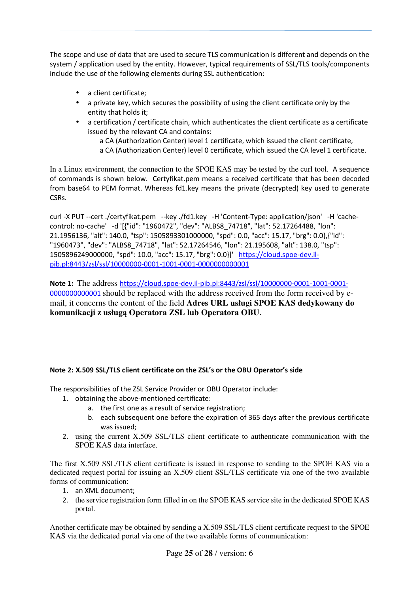The scope and use of data that are used to secure TLS communication is different and depends on the system / application used by the entity. However, typical requirements of SSL/TLS tools/components include the use of the following elements during SSL authentication:

- a client certificate;
- a private key, which secures the possibility of using the client certificate only by the entity that holds it;
- a certification / certificate chain, which authenticates the client certificate as a certificate issued by the relevant CA and contains:
	- a CA (Authorization Center) level 1 certificate, which issued the client certificate, a CA (Authorization Center) level 0 certificate, which issued the CA level 1 certificate.

In a Linux environment, the connection to the SPOE KAS may be tested by the curl tool. A sequence of commands is shown below. Certyfikat.pem means a received certificate that has been decoded from base64 to PEM format. Whereas fd1.key means the private (decrypted) key used to generate CSRs.

curl -X PUT --cert ./certyfikat.pem --key ./fd1.key -H 'Content-Type: application/json' -H 'cachecontrol: no-cache' -d '[{"id": "1960472", "dev": "ALBS8\_74718", "lat": 52.17264488, "lon": 21.1956136, "alt": 140.0, "tsp": 1505893301000000, "spd": 0.0, "acc": 15.17, "brg": 0.0},{"id": "1960473", "dev": "ALBS8\_74718", "lat": 52.17264546, "lon": 21.195608, "alt": 138.0, "tsp": 1505896249000000, "spd": 10.0, "acc": 15.17, "brg": 0.0}]' https://cloud.spoe-dev.ilpib.pl:8443/zsl/ssl/10000000-0001-1001-0001-0000000000001

**Note 1:** The address https://cloud.spoe-dev.il-pib.pl:8443/zsl/ssl/10000000-0001-1001-0001- 0000000000001 should be replaced with the address received from the form received by email, it concerns the content of the field **Adres URL usługi SPOE KAS dedykowany do komunikacji z usługą Operatora ZSL lub Operatora OBU**.

#### **Note 2: X.509 SSL/TLS client certificate on the ZSL's or the OBU Operator's side**

The responsibilities of the ZSL Service Provider or OBU Operator include:

- 1. obtaining the above-mentioned certificate:
	- a. the first one as a result of service registration;
	- b. each subsequent one before the expiration of 365 days after the previous certificate was issued;
- 2. using the current X.509 SSL/TLS client certificate to authenticate communication with the SPOE KAS data interface.

The first X.509 SSL/TLS client certificate is issued in response to sending to the SPOE KAS via a dedicated request portal for issuing an X.509 client SSL/TLS certificate via one of the two available forms of communication:

- 1. an XML document;
- 2. the service registration form filled in on the SPOE KAS service site in the dedicated SPOE KAS portal.

Another certificate may be obtained by sending a X.509 SSL/TLS client certificate request to the SPOE KAS via the dedicated portal via one of the two available forms of communication: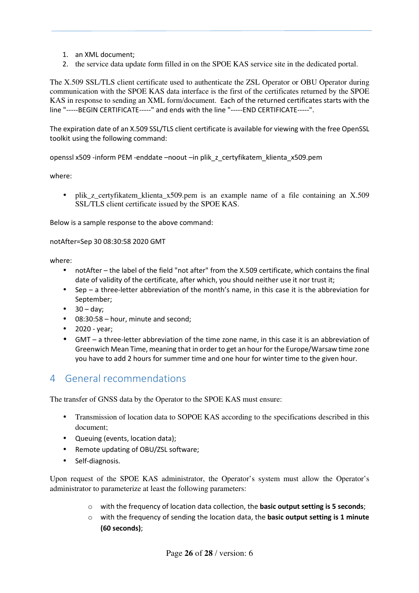- 1. an XML document;
- 2. the service data update form filled in on the SPOE KAS service site in the dedicated portal.

The X.509 SSL/TLS client certificate used to authenticate the ZSL Operator or OBU Operator during communication with the SPOE KAS data interface is the first of the certificates returned by the SPOE KAS in response to sending an XML form/document. Each of the returned certificates starts with the line "-----BEGIN CERTIFICATE-----" and ends with the line "-----END CERTIFICATE-----".

The expiration date of an X.509 SSL/TLS client certificate is available for viewing with the free OpenSSL toolkit using the following command:

openssl x509 -inform PEM -enddate –noout –in plik\_z\_certyfikatem\_klienta\_x509.pem

where:

• plik\_z\_certyfikatem\_klienta\_x509.pem is an example name of a file containing an X.509 SSL/TLS client certificate issued by the SPOE KAS.

Below is a sample response to the above command:

notAfter=Sep 30 08:30:58 2020 GMT

where:

- notAfter the label of the field "not after" from the X.509 certificate, which contains the final date of validity of the certificate, after which, you should neither use it nor trust it;
- Sep a three-letter abbreviation of the month's name, in this case it is the abbreviation for September;
- $\bullet$  30 day;
- 08:30:58 hour, minute and second;
- 2020 year;
- GMT a three-letter abbreviation of the time zone name, in this case it is an abbreviation of Greenwich Mean Time, meaning that in order to get an hour for the Europe/Warsaw time zone you have to add 2 hours for summer time and one hour for winter time to the given hour.

## 4 General recommendations

The transfer of GNSS data by the Operator to the SPOE KAS must ensure:

- Transmission of location data to SOPOE KAS according to the specifications described in this document;
- Queuing (events, location data);
- Remote updating of OBU/ZSL software;
- Self-diagnosis.

Upon request of the SPOE KAS administrator, the Operator's system must allow the Operator's administrator to parameterize at least the following parameters:

- o with the frequency of location data collection, the **basic output setting is 5 seconds**;
- o with the frequency of sending the location data, the **basic output setting is 1 minute (60 seconds)**;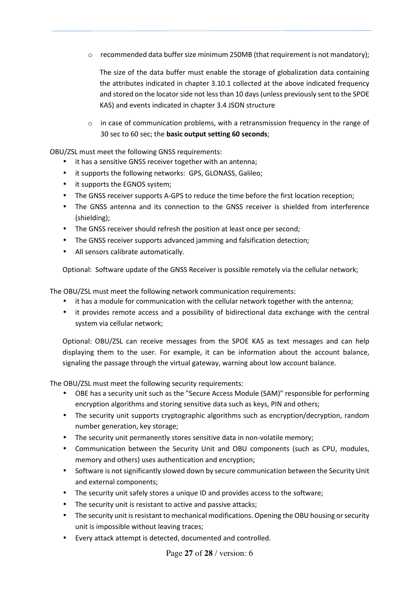$\circ$  recommended data buffer size minimum 250MB (that requirement is not mandatory);

The size of the data buffer must enable the storage of globalization data containing the attributes indicated in chapter 3.10.1 collected at the above indicated frequency and stored on the locator side not less than 10 days (unless previously sent to the SPOE KAS) and events indicated in chapter 3.4 JSON structure

 $\circ$  in case of communication problems, with a retransmission frequency in the range of 30 sec to 60 sec; the **basic output setting 60 seconds**;

OBU/ZSL must meet the following GNSS requirements:

- it has a sensitive GNSS receiver together with an antenna;
- it supports the following networks: GPS, GLONASS, Galileo;
- it supports the EGNOS system;
- The GNSS receiver supports A-GPS to reduce the time before the first location reception;
- The GNSS antenna and its connection to the GNSS receiver is shielded from interference (shielding);
- The GNSS receiver should refresh the position at least once per second;
- The GNSS receiver supports advanced jamming and falsification detection;
- All sensors calibrate automatically.

Optional: Software update of the GNSS Receiver is possible remotely via the cellular network;

The OBU/ZSL must meet the following network communication requirements:

- it has a module for communication with the cellular network together with the antenna;
- it provides remote access and a possibility of bidirectional data exchange with the central system via cellular network;

Optional: OBU/ZSL can receive messages from the SPOE KAS as text messages and can help displaying them to the user. For example, it can be information about the account balance, signaling the passage through the virtual gateway, warning about low account balance.

The OBU/ZSL must meet the following security requirements:

- OBE has a security unit such as the "Secure Access Module (SAM)" responsible for performing encryption algorithms and storing sensitive data such as keys, PIN and others;
- The security unit supports cryptographic algorithms such as encryption/decryption, random number generation, key storage;
- The security unit permanently stores sensitive data in non-volatile memory;
- Communication between the Security Unit and OBU components (such as CPU, modules, memory and others) uses authentication and encryption;
- Software is not significantly slowed down by secure communication between the Security Unit and external components;
- The security unit safely stores a unique ID and provides access to the software;
- The security unit is resistant to active and passive attacks;
- The security unit is resistant to mechanical modifications. Opening the OBU housing or security unit is impossible without leaving traces;
- Every attack attempt is detected, documented and controlled.